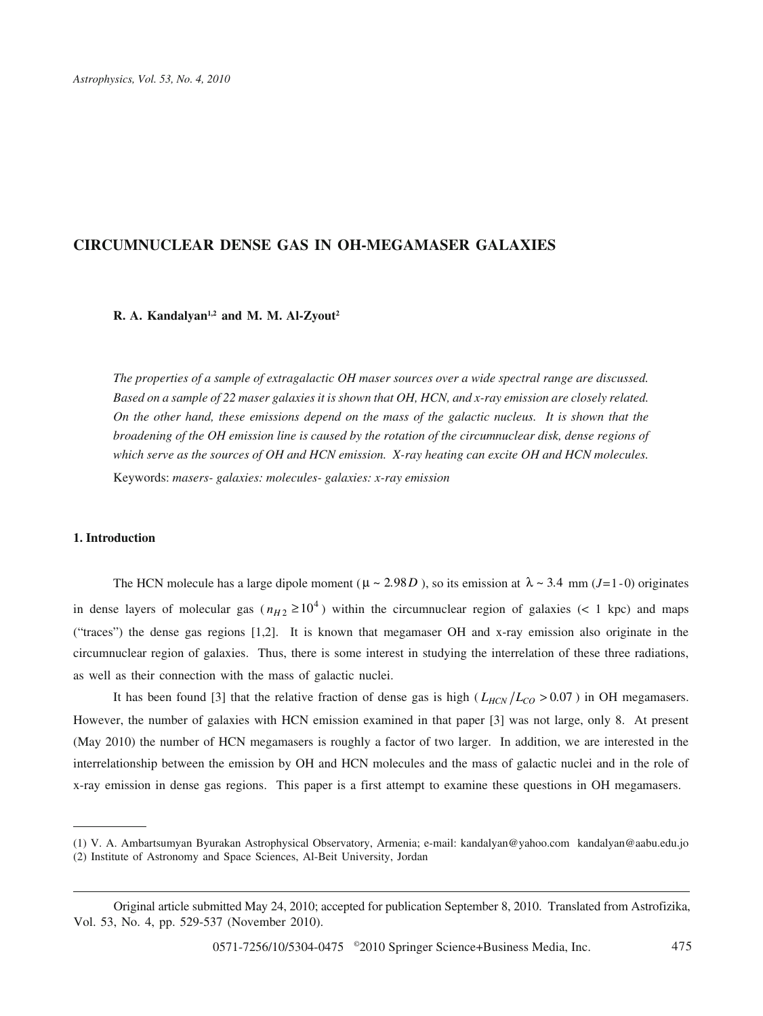# **CIRCUMNUCLEAR DENSE GAS IN OH-MEGAMASER GALAXIES**

**R. A. Kandalyan1,2 and M. M. Al-Zyout2**

*The properties of a sample of extragalactic OH maser sources over a wide spectral range are discussed. Based on a sample of 22 maser galaxies it is shown that OH, HCN, and x-ray emission are closely related. On the other hand, these emissions depend on the mass of the galactic nucleus. It is shown that the broadening of the OH emission line is caused by the rotation of the circumnuclear disk, dense regions of which serve as the sources of OH and HCN emission. X-ray heating can excite OH and HCN molecules.* Keywords: *masers- galaxies: molecules- galaxies: x-ray emission*

#### **1. Introduction**

The HCN molecule has a large dipole moment ( $\mu \sim 2.98D$ ), so its emission at  $\lambda \sim 3.4$  mm (*J*=1-0) originates in dense layers of molecular gas ( $n_{H2} \ge 10^4$ ) within the circumnuclear region of galaxies (< 1 kpc) and maps ("traces") the dense gas regions [1,2]. It is known that megamaser OH and x-ray emission also originate in the circumnuclear region of galaxies. Thus, there is some interest in studying the interrelation of these three radiations, as well as their connection with the mass of galactic nuclei.

It has been found [3] that the relative fraction of dense gas is high ( $L_{HCN}/L_{CO} > 0.07$ ) in OH megamasers. However, the number of galaxies with HCN emission examined in that paper [3] was not large, only 8. At present (May 2010) the number of HCN megamasers is roughly a factor of two larger. In addition, we are interested in the interrelationship between the emission by OH and HCN molecules and the mass of galactic nuclei and in the role of x-ray emission in dense gas regions. This paper is a first attempt to examine these questions in OH megamasers.

<sup>(1)</sup> V. A. Ambartsumyan Byurakan Astrophysical Observatory, Armenia; e-mail: kandalyan@yahoo.com kandalyan@aabu.edu.jo (2) Institute of Astronomy and Space Sciences, Al-Beit University, Jordan

Original article submitted May 24, 2010; accepted for publication September 8, 2010. Translated from Astrofizika, Vol. 53, No. 4, pp. 529-537 (November 2010).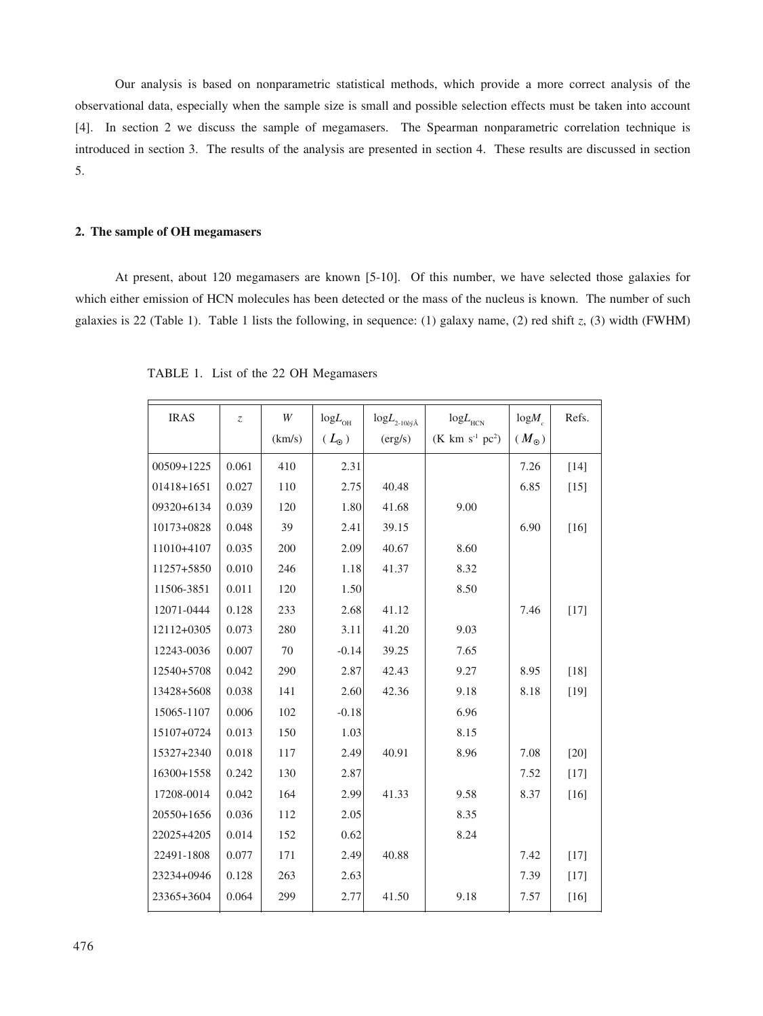Our analysis is based on nonparametric statistical methods, which provide a more correct analysis of the observational data, especially when the sample size is small and possible selection effects must be taken into account [4]. In section 2 we discuss the sample of megamasers. The Spearman nonparametric correlation technique is introduced in section 3. The results of the analysis are presented in section 4. These results are discussed in section 5.

# **2. The sample of OH megamasers**

At present, about 120 megamasers are known [5-10]. Of this number, we have selected those galaxies for which either emission of HCN molecules has been detected or the mass of the nucleus is known. The number of such galaxies is 22 (Table 1). Table 1 lists the following, in sequence: (1) galaxy name, (2) red shift *z*, (3) width (FWHM)

| <b>IRAS</b> | $\overline{z}$ | W      | $\mathrm{log}L_{_{\mathrm{OH}}}$ | $\mbox{log} L_{\mbox{{\scriptsize 2-10}}\hat{\rm e}\acute{\rm{y}}\hat{\rm{A}}}$ | $\mathrm{log}L_{_{\mathrm{HCN}}}$ | $logM_{c}$    | Refs.  |
|-------------|----------------|--------|----------------------------------|---------------------------------------------------------------------------------|-----------------------------------|---------------|--------|
|             |                | (km/s) | ( $L_{\odot}$ )                  | (erg/s)                                                                         | $(K \ km \ s^{-1} \ pc^2)$        | $(M_{\odot})$ |        |
| 00509+1225  | 0.061          | 410    | 2.31                             |                                                                                 |                                   | 7.26          | $[14]$ |
| 01418+1651  | 0.027          | 110    | 2.75                             | 40.48                                                                           |                                   | 6.85          | $[15]$ |
| 09320+6134  | 0.039          | 120    | 1.80                             | 41.68                                                                           | 9.00                              |               |        |
| 10173+0828  | 0.048          | 39     | 2.41                             | 39.15                                                                           |                                   | 6.90          | $[16]$ |
| 11010+4107  | 0.035          | 200    | 2.09                             | 40.67                                                                           | 8.60                              |               |        |
| 11257+5850  | 0.010          | 246    | 1.18                             | 41.37                                                                           | 8.32                              |               |        |
| 11506-3851  | 0.011          | 120    | 1.50                             |                                                                                 | 8.50                              |               |        |
| 12071-0444  | 0.128          | 233    | 2.68                             | 41.12                                                                           |                                   | 7.46          | $[17]$ |
| 12112+0305  | 0.073          | 280    | 3.11                             | 41.20                                                                           | 9.03                              |               |        |
| 12243-0036  | 0.007          | 70     | $-0.14$                          | 39.25                                                                           | 7.65                              |               |        |
| 12540+5708  | 0.042          | 290    | 2.87                             | 42.43                                                                           | 9.27                              | 8.95          | $[18]$ |
| 13428+5608  | 0.038          | 141    | 2.60                             | 42.36                                                                           | 9.18                              | 8.18          | $[19]$ |
| 15065-1107  | 0.006          | 102    | $-0.18$                          |                                                                                 | 6.96                              |               |        |
| 15107+0724  | 0.013          | 150    | 1.03                             |                                                                                 | 8.15                              |               |        |
| 15327+2340  | 0.018          | 117    | 2.49                             | 40.91                                                                           | 8.96                              | 7.08          | $[20]$ |
| 16300+1558  | 0.242          | 130    | 2.87                             |                                                                                 |                                   | 7.52          | $[17]$ |
| 17208-0014  | 0.042          | 164    | 2.99                             | 41.33                                                                           | 9.58                              | 8.37          | $[16]$ |
| 20550+1656  | 0.036          | 112    | 2.05                             |                                                                                 | 8.35                              |               |        |
| 22025+4205  | 0.014          | 152    | 0.62                             |                                                                                 | 8.24                              |               |        |
| 22491-1808  | 0.077          | 171    | 2.49                             | 40.88                                                                           |                                   | 7.42          | $[17]$ |
| 23234+0946  | 0.128          | 263    | 2.63                             |                                                                                 |                                   | 7.39          | $[17]$ |
| 23365+3604  | 0.064          | 299    | 2.77                             | 41.50                                                                           | 9.18                              | 7.57          | $[16]$ |

TABLE 1. List of the 22 OH Megamasers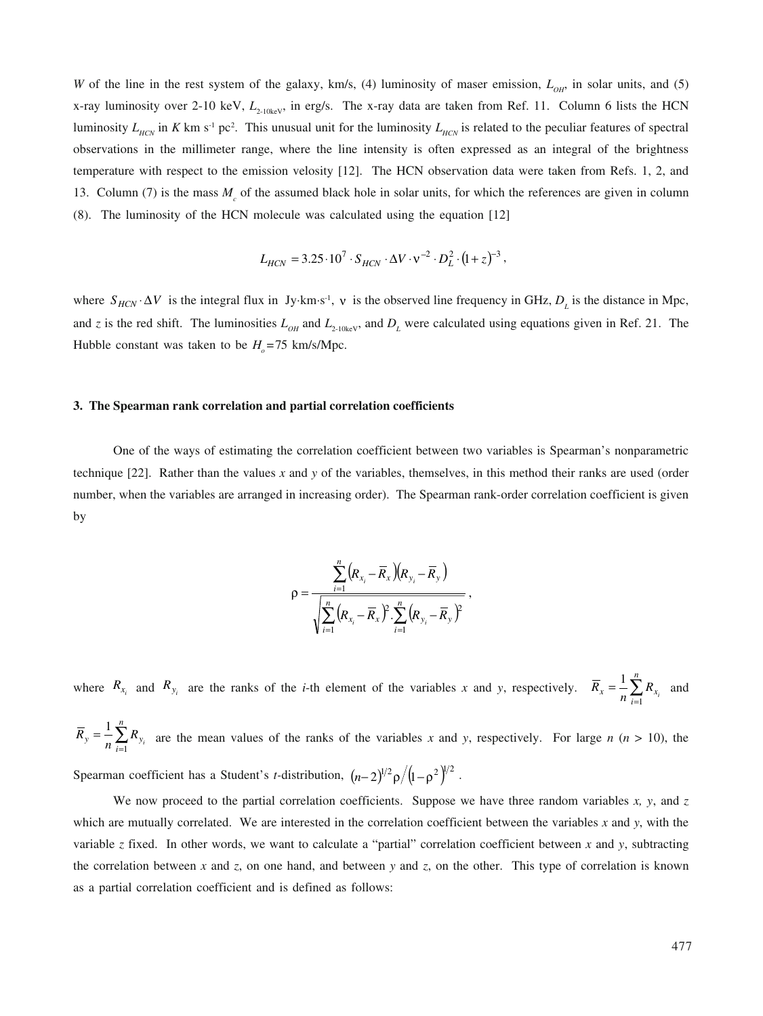*W* of the line in the rest system of the galaxy, km/s, (4) luminosity of maser emission,  $L_{OH}$ , in solar units, and (5) x-ray luminosity over 2-10 keV,  $L_{2-10\text{keV}}$ , in erg/s. The x-ray data are taken from Ref. 11. Column 6 lists the HCN luminosity  $L_{HCN}$  in K km s<sup>-1</sup> pc<sup>2</sup>. This unusual unit for the luminosity  $L_{HCN}$  is related to the peculiar features of spectral observations in the millimeter range, where the line intensity is often expressed as an integral of the brightness temperature with respect to the emission velosity [12]. The HCN observation data were taken from Refs. 1, 2, and 13. Column (7) is the mass  $M_c$  of the assumed black hole in solar units, for which the references are given in column (8). The luminosity of the HCN molecule was calculated using the equation [12]

$$
L_{HCN} = 3.25 \cdot 10^7 \cdot S_{HCN} \cdot \Delta V \cdot v^{-2} \cdot D_L^2 \cdot (1 + z)^{-3},
$$

where  $S_{HCN} \cdot \Delta V$  is the integral flux in Jy·km·s<sup>-1</sup>, v is the observed line frequency in GHz,  $D_L$  is the distance in Mpc, and *z* is the red shift. The luminosities  $L_{OH}$  and  $L_{2-10\text{keV}}$ , and  $D_L$  were calculated using equations given in Ref. 21. The Hubble constant was taken to be  $H<sub>a</sub> = 75$  km/s/Mpc.

#### **3. The Spearman rank correlation and partial correlation coefficients**

One of the ways of estimating the correlation coefficient between two variables is Spearman's nonparametric technique [22]. Rather than the values *x* and *y* of the variables, themselves, in this method their ranks are used (order number, when the variables are arranged in increasing order). The Spearman rank-order correlation coefficient is given by

$$
\rho = \frac{\sum_{i=1}^{n} (R_{x_i} - \overline{R}_x)(R_{y_i} - \overline{R}_y)}{\sqrt{\sum_{i=1}^{n} (R_{x_i} - \overline{R}_x)^2 \cdot \sum_{i=1}^{n} (R_{y_i} - \overline{R}_y)^2}},
$$

where  $R_{x_i}$  and  $R_{y_i}$  are the ranks of the *i*-th element of the variables *x* and *y*, respectively.  $\overline{R}_x = \frac{1}{n} \sum_{i=1}^n R_i$  $=\frac{1}{2}$  $R_x = -\frac{1}{n} \sum_{i=1}^{n} R_{x_i}$  $\frac{1}{2} \sum_{x}^{n} R_{x}$  and 1

 $\sum_{i=1}$  $=\frac{1}{2}\sum_{n=1}^{n}$  $R_y = -\frac{1}{n} \sum_{i=1}^{n} R_{y_i}$ are the mean values of the ranks of the variables x and y, respectively. For large  $n (n > 10)$ , the Spearman coefficient has a Student's *t*-distribution,  $(n-2)^{1/2} \rho / (1-\rho^2)^{1/2}$ .

We now proceed to the partial correlation coefficients. Suppose we have three random variables *x*, *y*, and *z* which are mutually correlated. We are interested in the correlation coefficient between the variables *x* and *y*, with the variable *z* fixed. In other words, we want to calculate a "partial" correlation coefficient between *x* and *y*, subtracting the correlation between *x* and *z*, on one hand, and between *y* and *z*, on the other. This type of correlation is known as a partial correlation coefficient and is defined as follows: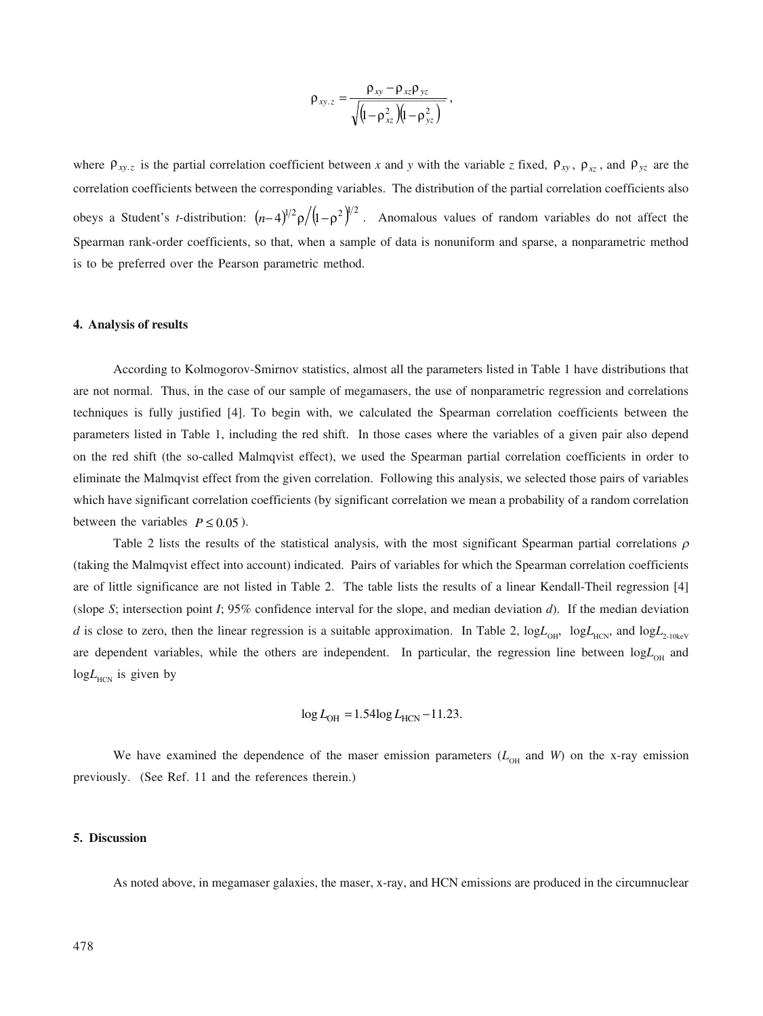$$
\rho_{xy.z} = \frac{\rho_{xy} - \rho_{xz} \rho_{yz}}{\sqrt{\left(l - \rho_{xz}^2\right)\left(l - \rho_{yz}^2\right)}}\,,
$$

where  $\rho_{xy,z}$  is the partial correlation coefficient between *x* and *y* with the variable *z* fixed,  $\rho_{xy}$ ,  $\rho_{xz}$ , and  $\rho_{yz}$  are the correlation coefficients between the corresponding variables. The distribution of the partial correlation coefficients also obeys a Student's *t*-distribution:  $(n-4)^{1/2} \rho / (1-\rho^2)^{1/2}$ . Anomalous values of random variables do not affect the Spearman rank-order coefficients, so that, when a sample of data is nonuniform and sparse, a nonparametric method is to be preferred over the Pearson parametric method.

#### **4. Analysis of results**

According to Kolmogorov-Smirnov statistics, almost all the parameters listed in Table 1 have distributions that are not normal. Thus, in the case of our sample of megamasers, the use of nonparametric regression and correlations techniques is fully justified [4]. To begin with, we calculated the Spearman correlation coefficients between the parameters listed in Table 1, including the red shift. In those cases where the variables of a given pair also depend on the red shift (the so-called Malmqvist effect), we used the Spearman partial correlation coefficients in order to eliminate the Malmqvist effect from the given correlation. Following this analysis, we selected those pairs of variables which have significant correlation coefficients (by significant correlation we mean a probability of a random correlation between the variables  $P \le 0.05$ ).

Table 2 lists the results of the statistical analysis, with the most significant Spearman partial correlations  $\rho$ (taking the Malmqvist effect into account) indicated. Pairs of variables for which the Spearman correlation coefficients are of little significance are not listed in Table 2. The table lists the results of a linear Kendall-Theil regression [4] (slope *S*; intersection point *I*; 95% confidence interval for the slope, and median deviation *d*). If the median deviation *d* is close to zero, then the linear regression is a suitable approximation. In Table 2,  $logL_{\text{off}}$ ,  $logL_{\text{HCN}}$ , and  $logL_{\text{2-10keV}}$ are dependent variables, while the others are independent. In particular, the regression line between logL<sub>OH</sub> and  $logL$ <sub>HCN</sub> is given by

$$
\log L_{\text{OH}} = 1.54 \log L_{\text{HCN}} - 11.23.
$$

We have examined the dependence of the maser emission parameters  $(L_{OH}$  and *W*) on the x-ray emission previously. (See Ref. 11 and the references therein.)

### **5. Discussion**

As noted above, in megamaser galaxies, the maser, x-ray, and HCN emissions are produced in the circumnuclear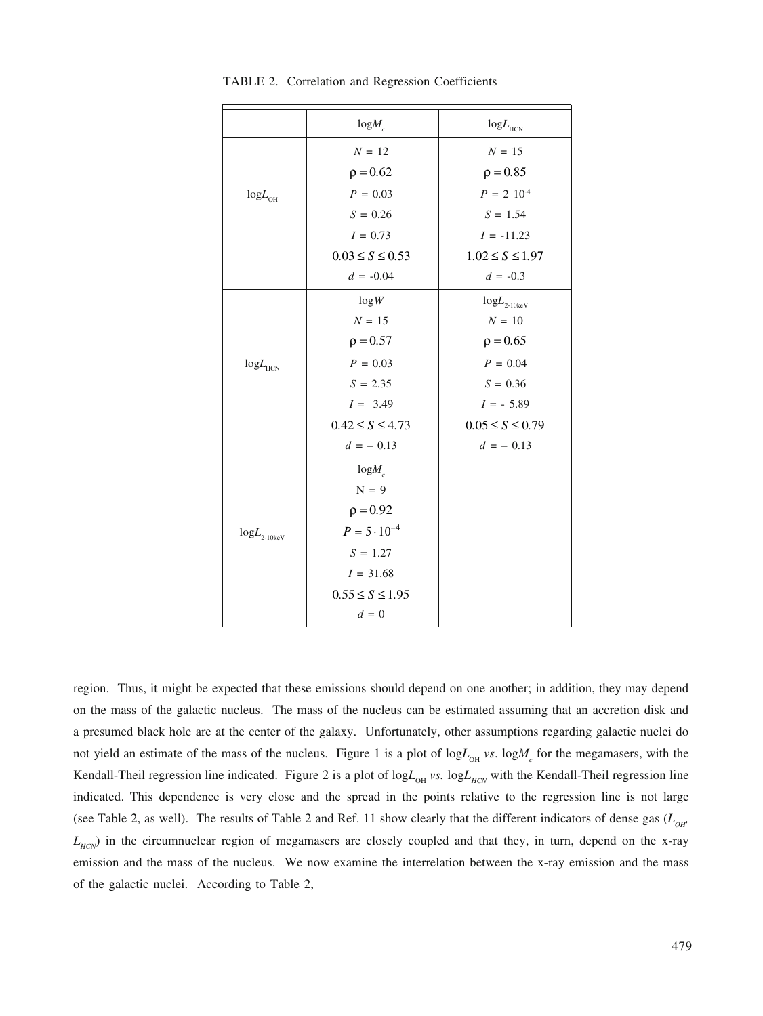|                                       | $log M_c$             | $\mbox{log} L_{\mbox{\tiny HCN}}$ |  |
|---------------------------------------|-----------------------|-----------------------------------|--|
|                                       | $N = 12$              | $N = 15$                          |  |
|                                       | $\rho = 0.62$         | $\rho = 0.85$                     |  |
| $\mathrm{log}L_{\mathrm{OH}}$         | $P = 0.03$            | $P = 2 \cdot 10^{-4}$             |  |
|                                       | $S = 0.26$            | $S = 1.54$                        |  |
|                                       | $I = 0.73$            | $I = -11.23$                      |  |
|                                       | $0.03 \le S \le 0.53$ | $1.02 \le S \le 1.97$             |  |
|                                       | $d = -0.04$           | $d = -0.3$                        |  |
|                                       | log W                 | $logL$ <sub>2-10ke</sub> v        |  |
|                                       | $N = 15$              | $N = 10$                          |  |
|                                       | $\rho = 0.57$         | $\rho = 0.65$                     |  |
| $\mbox{log} L_{\mbox{\tiny HCN}}$     | $P = 0.03$            | $P = 0.04$                        |  |
|                                       | $S = 2.35$            | $S = 0.36$                        |  |
|                                       | $I = 3.49$            | $I = -5.89$                       |  |
|                                       | $0.42 \le S \le 4.73$ | $0.05 \le S \le 0.79$             |  |
|                                       | $d = -0.13$           | $d = -0.13$                       |  |
|                                       | $logM_c$              |                                   |  |
|                                       | $N = 9$               |                                   |  |
|                                       | $\rho = 0.92$         |                                   |  |
| $\mbox{log} L_{\mbox{\tiny 2-10keV}}$ | $P = 5 \cdot 10^{-4}$ |                                   |  |
|                                       | $S = 1.27$            |                                   |  |
|                                       | $I = 31.68$           |                                   |  |
|                                       | $0.55 \le S \le 1.95$ |                                   |  |
|                                       | $d=0$                 |                                   |  |

TABLE 2. Correlation and Regression Coefficients

region. Thus, it might be expected that these emissions should depend on one another; in addition, they may depend on the mass of the galactic nucleus. The mass of the nucleus can be estimated assuming that an accretion disk and a presumed black hole are at the center of the galaxy. Unfortunately, other assumptions regarding galactic nuclei do not yield an estimate of the mass of the nucleus. Figure 1 is a plot of  $logL_{OH}$  *vs*.  $logM_c$  for the megamasers, with the Kendall-Theil regression line indicated. Figure 2 is a plot of  $logL_{OH}$  vs.  $logL_{HCN}$  with the Kendall-Theil regression line indicated. This dependence is very close and the spread in the points relative to the regression line is not large (see Table 2, as well). The results of Table 2 and Ref. 11 show clearly that the different indicators of dense gas  $(L<sub>OH</sub>)$  $L_{HCN}$ ) in the circumnuclear region of megamasers are closely coupled and that they, in turn, depend on the x-ray emission and the mass of the nucleus. We now examine the interrelation between the x-ray emission and the mass of the galactic nuclei. According to Table 2,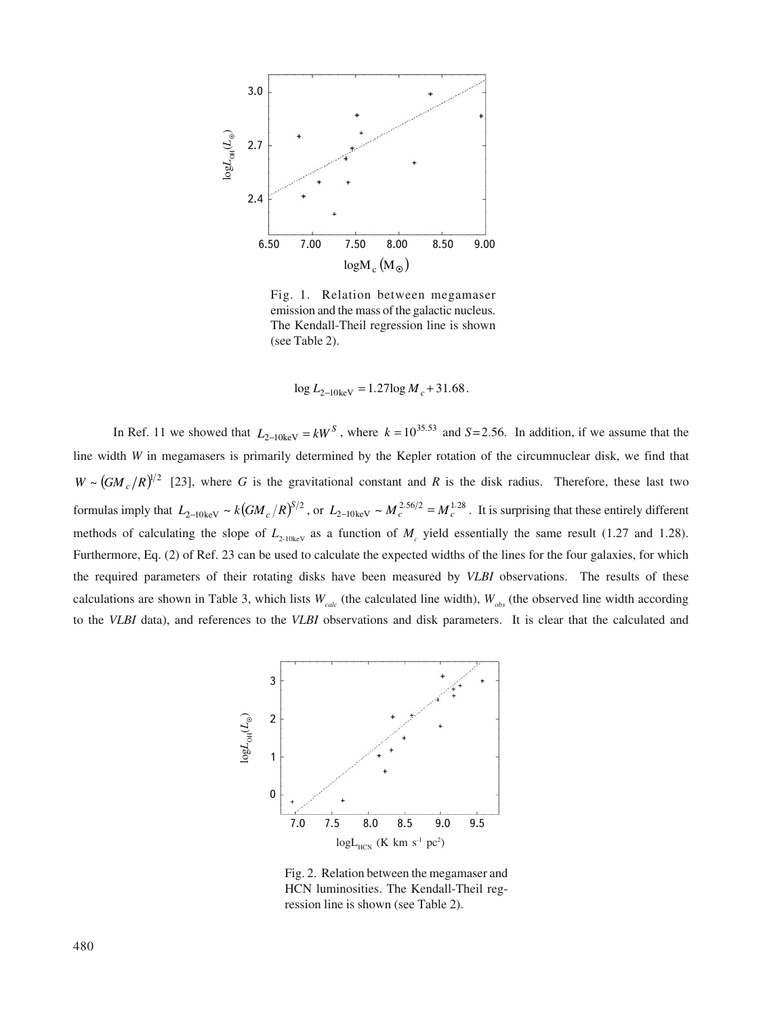

Fig. 1. Relation between megamaser emission and the mass of the galactic nucleus. The Kendall-Theil regression line is shown (see Table 2).

$$
\log L_{2-10\,\text{keV}} = 1.27 \log M_c + 31.68
$$

In Ref. 11 we showed that  $L_{2-10k\text{eV}} = kW^S$ , where  $k = 10^{35.53}$  and  $S = 2.56$ . In addition, if we assume that the line width *W* in megamasers is primarily determined by the Kepler rotation of the circumnuclear disk, we find that  $W \sim (GM_c/R)^{1/2}$  [23], where *G* is the gravitational constant and *R* is the disk radius. Therefore, these last two formulas imply that  $L_{2-10\text{keV}} \sim k \left( GM_c/R \right)^{5/2}$ , or  $L_{2-10\text{keV}} \sim M_c^{2.56/2} = M_c^{1.28}$ . It is surprising that these entirely different methods of calculating the slope of  $L_{2-10\text{keV}}$  as a function of  $M_c$  yield essentially the same result (1.27 and 1.28). Furthermore, Eq. (2) of Ref. 23 can be used to calculate the expected widths of the lines for the four galaxies, for which the required parameters of their rotating disks have been measured by *VLBI* observations. The results of these calculations are shown in Table 3, which lists  $W_{calc}$  (the calculated line width),  $W_{obs}$  (the observed line width according to the *VLBI* data), and references to the *VLBI* observations and disk parameters. It is clear that the calculated and



Fig. 2. Relation between the megamaser and HCN luminosities. The Kendall-Theil regression line is shown (see Table 2).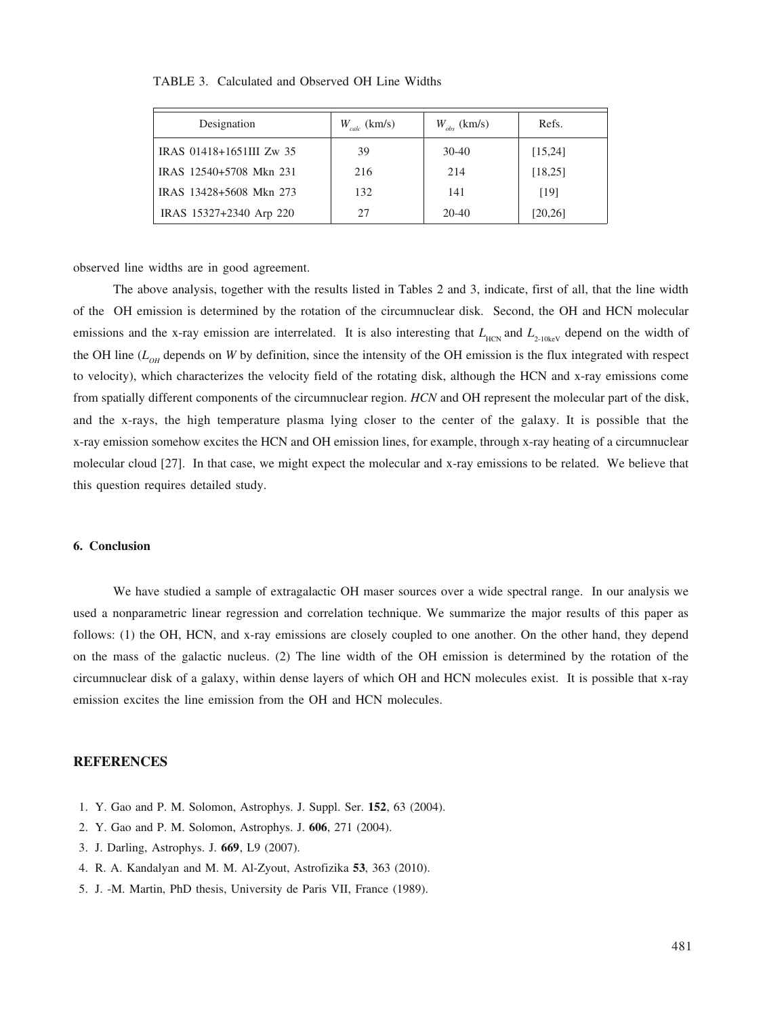| Designation              | $W_{calc}$ (km/s) | $W_{obs}$ (km/s) | Refs.    |
|--------------------------|-------------------|------------------|----------|
| IRAS 01418+1651III Zw 35 | 39                | $30-40$          | [15, 24] |
| IRAS 12540+5708 Mkn 231  | 216               | 214              | [18, 25] |
| IRAS 13428+5608 Mkn 273  | 132               | 141              | [19]     |
| IRAS 15327+2340 Arp 220  | 27                | 20-40            | [20, 26] |

TABLE 3. Calculated and Observed OH Line Widths

observed line widths are in good agreement.

The above analysis, together with the results listed in Tables 2 and 3, indicate, first of all, that the line width of the OH emission is determined by the rotation of the circumnuclear disk. Second, the OH and HCN molecular emissions and the x-ray emission are interrelated. It is also interesting that  $L_{HCN}$  and  $L_{2,10k}$  depend on the width of the OH line  $(L<sub>OH</sub>$  depends on *W* by definition, since the intensity of the OH emission is the flux integrated with respect to velocity), which characterizes the velocity field of the rotating disk, although the HCN and x-ray emissions come from spatially different components of the circumnuclear region. *HCN* and OH represent the molecular part of the disk, and the x-rays, the high temperature plasma lying closer to the center of the galaxy. It is possible that the x-ray emission somehow excites the HCN and OH emission lines, for example, through x-ray heating of a circumnuclear molecular cloud [27]. In that case, we might expect the molecular and x-ray emissions to be related. We believe that this question requires detailed study.

# **6. Conclusion**

We have studied a sample of extragalactic OH maser sources over a wide spectral range. In our analysis we used a nonparametric linear regression and correlation technique. We summarize the major results of this paper as follows: (1) the OH, HCN, and x-ray emissions are closely coupled to one another. On the other hand, they depend on the mass of the galactic nucleus. (2) The line width of the OH emission is determined by the rotation of the circumnuclear disk of a galaxy, within dense layers of which OH and HCN molecules exist. It is possible that x-ray emission excites the line emission from the OH and HCN molecules.

# **REFERENCES**

- 1. Y. Gao and P. M. Solomon, Astrophys. J. Suppl. Ser. **152**, 63 (2004).
- 2. Y. Gao and P. M. Solomon, Astrophys. J. **606**, 271 (2004).
- 3. J. Darling, Astrophys. J. **669**, L9 (2007).
- 4. R. A. Kandalyan and M. M. Al-Zyout, Astrofizika **53**, 363 (2010).
- 5. J. -M. Martin, PhD thesis, University de Paris VII, France (1989).